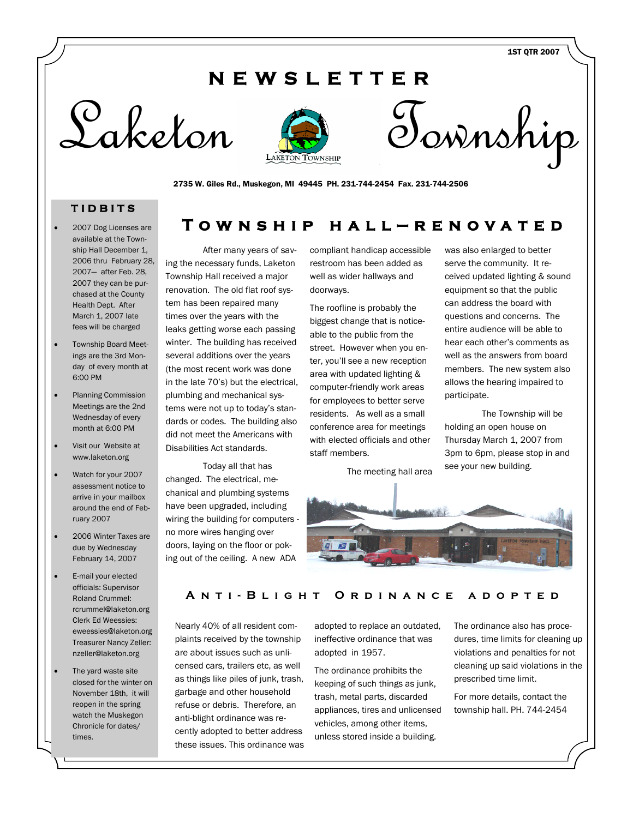1ST QTR 2007

## **N E W S L E T T E R**





2735 W. Giles Rd., Muskegon, MI 49445 PH. 231-744-2454 Fax. 231-744-2506

### **T I D B I T S**

- 2007 Dog Licenses are available at the Township Hall December 1, 2006 thru February 28, 2007— after Feb. 28, 2007 they can be purchased at the County Health Dept. After March 1, 2007 late fees will be charged
- Township Board Meetings are the 3rd Monday of every month at 6:00 PM
- Planning Commission Meetings are the 2nd Wednesday of every month at 6:00 PM
- Visit our Website at www.laketon.org
- Watch for your 2007 assessment notice to arrive in your mailbox around the end of February 2007
- 2006 Winter Taxes are due by Wednesday February 14, 2007
- E-mail your elected officials: Supervisor Roland Crummel: rcrummel@laketon.org Clerk Ed Weessies: eweessies@laketon.org Treasurer Nancy Zeller: nzeller@laketon.org
- The yard waste site closed for the winter on November 18th, it will reopen in the spring watch the Muskegon Chronicle for dates/ times.

After many years of saving the necessary funds, Laketon Township Hall received a major renovation. The old flat roof system has been repaired many times over the years with the leaks getting worse each passing winter. The building has received several additions over the years (the most recent work was done in the late 70's) but the electrical, plumbing and mechanical systems were not up to today's standards or codes. The building also did not meet the Americans with Disabilities Act standards.

Today all that has changed. The electrical, mechanical and plumbing systems have been upgraded, including wiring the building for computers no more wires hanging over doors, laying on the floor or poking out of the ceiling. A new ADA

compliant handicap accessible restroom has been added as well as wider hallways and doorways.

**T o w n s h i p h a l l — r e n o v a t e d**

The roofline is probably the biggest change that is noticeable to the public from the street. However when you enter, you'll see a new reception area with updated lighting & computer-friendly work areas for employees to better serve residents. As well as a small conference area for meetings with elected officials and other staff members.

The meeting hall area



was also enlarged to better

The Township will be holding an open house on Thursday March 1, 2007 from 3pm to 6pm, please stop in and see your new building.



#### **A n t i - B l i g h t O r d i n a n c e a d o p t e d**

Nearly 40% of all resident complaints received by the township are about issues such as unlicensed cars, trailers etc, as well as things like piles of junk, trash, garbage and other household refuse or debris. Therefore, an anti-blight ordinance was recently adopted to better address these issues. This ordinance was adopted to replace an outdated, ineffective ordinance that was adopted in 1957.

The ordinance prohibits the keeping of such things as junk, trash, metal parts, discarded appliances, tires and unlicensed vehicles, among other items, unless stored inside a building.

The ordinance also has procedures, time limits for cleaning up violations and penalties for not cleaning up said violations in the prescribed time limit.

For more details, contact the township hall. PH. 744-2454